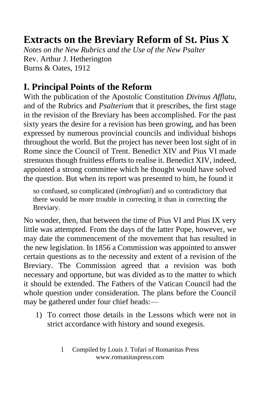## **Extracts on the Breviary Reform of St. Pius X**

*Notes on the New Rubrics and the Use of the New Psalter* Rev. Arthur J. Hetherington Burns & Oates, 1912

## **I. Principal Points of the Reform**

With the publication of the Apostolic Constitution *Divinus Afflatu*, and of the Rubrics and *Psalterium* that it prescribes, the first stage in the revision of the Breviary has been accomplished. For the past sixty years the desire for a revision has been growing, and has been expressed by numerous provincial councils and individual bishops throughout the world. But the project has never been lost sight of in Rome since the Council of Trent. Benedict XIV and Pius VI made strenuous though fruitless efforts to realise it. Benedict XIV, indeed, appointed a strong committee which he thought would have solved the question. But when its report was presented to him, he found it

so confused, so complicated (*imbrogliati*) and so contradictory that there would be more trouble in correcting it than in correcting the Breviary.

No wonder, then, that between the time of Pius VI and Pius IX very little was attempted. From the days of the latter Pope, however, we may date the commencement of the movement that has resulted in the new legislation. In 1856 a Commission was appointed to answer certain questions as to the necessity and extent of a revision of the Breviary. The Commission agreed that a revision was both necessary and opportune, but was divided as to the matter to which it should be extended. The Fathers of the Vatican Council had the whole question under consideration. The plans before the Council may be gathered under four chief heads:—

1) To correct those details in the Lessons which were not in strict accordance with history and sound exegesis.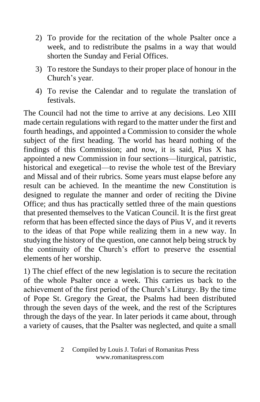- 2) To provide for the recitation of the whole Psalter once a week, and to redistribute the psalms in a way that would shorten the Sunday and Ferial Offices.
- 3) To restore the Sundays to their proper place of honour in the Church's year.
- 4) To revise the Calendar and to regulate the translation of festivals.

The Council had not the time to arrive at any decisions. Leo XIII made certain regulations with regard to the matter under the first and fourth headings, and appointed a Commission to consider the whole subject of the first heading. The world has heard nothing of the findings of this Commission; and now, it is said, Pius X has appointed a new Commission in four sections—liturgical, patristic, historical and exegetical—to revise the whole test of the Breviary and Missal and of their rubrics. Some years must elapse before any result can be achieved. In the meantime the new Constitution is designed to regulate the manner and order of reciting the Divine Office; and thus has practically settled three of the main questions that presented themselves to the Vatican Council. It is the first great reform that has been effected since the days of Pius V, and it reverts to the ideas of that Pope while realizing them in a new way. In studying the history of the question, one cannot help being struck by the continuity of the Church's effort to preserve the essential elements of her worship.

1) The chief effect of the new legislation is to secure the recitation of the whole Psalter once a week. This carries us back to the achievement of the first period of the Church's Liturgy. By the time of Pope St. Gregory the Great, the Psalms had been distributed through the seven days of the week, and the rest of the Scriptures through the days of the year. In later periods it came about, through a variety of causes, that the Psalter was neglected, and quite a small

<sup>2</sup> Compiled by Louis J. Tofari of Romanitas Press www.romanitaspress.com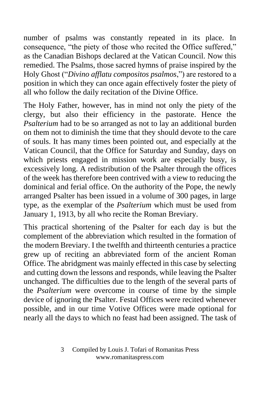number of psalms was constantly repeated in its place. In consequence, "the piety of those who recited the Office suffered," as the Canadian Bishops declared at the Vatican Council. Now this remedied. The Psalms, those sacred hymns of praise inspired by the Holy Ghost ("*Divino afflatu compositos psalmos*,") are restored to a position in which they can once again effectively foster the piety of all who follow the daily recitation of the Divine Office.

The Holy Father, however, has in mind not only the piety of the clergy, but also their efficiency in the pastorate. Hence the *Psalterium* had to be so arranged as not to lay an additional burden on them not to diminish the time that they should devote to the care of souls. It has many times been pointed out, and especially at the Vatican Council, that the Office for Saturday and Sunday, days on which priests engaged in mission work are especially busy, is excessively long. A redistribution of the Psalter through the offices of the week has therefore been contrived with a view to reducing the dominical and ferial office. On the authority of the Pope, the newly arranged Psalter has been issued in a volume of 300 pages, in large type, as the exemplar of the *Psalterium* which must be used from January 1, 1913, by all who recite the Roman Breviary.

This practical shortening of the Psalter for each day is but the complement of the abbreviation which resulted in the formation of the modern Breviary. I the twelfth and thirteenth centuries a practice grew up of reciting an abbreviated form of the ancient Roman Office. The abridgment was mainly effected in this case by selecting and cutting down the lessons and responds, while leaving the Psalter unchanged. The difficulties due to the length of the several parts of the *Psalterium* were overcome in course of time by the simple device of ignoring the Psalter. Festal Offices were recited whenever possible, and in our time Votive Offices were made optional for nearly all the days to which no feast had been assigned. The task of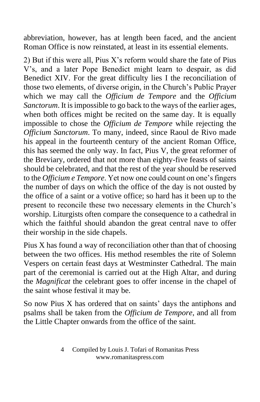abbreviation, however, has at length been faced, and the ancient Roman Office is now reinstated, at least in its essential elements.

2) But if this were all, Pius X's reform would share the fate of Pius V's, and a later Pope Benedict might learn to despair, as did Benedict XIV. For the great difficulty lies I the reconciliation of those two elements, of diverse origin, in the Church's Public Prayer which we may call the *Officium de Tempore* and the *Officium Sanctorum*. It is impossible to go back to the ways of the earlier ages, when both offices might be recited on the same day. It is equally impossible to chose the *Officium de Tempore* while rejecting the *Officium Sanctorum*. To many, indeed, since Raoul de Rivo made his appeal in the fourteenth century of the ancient Roman Office, this has seemed the only way. In fact, Pius V, the great reformer of the Breviary, ordered that not more than eighty-five feasts of saints should be celebrated, and that the rest of the year should be reserved to the *Officium e Tempore*. Yet now one could count on one's fingers the number of days on which the office of the day is not ousted by the office of a saint or a votive office; so hard has it been up to the present to reconcile these two necessary elements in the Church's worship. Liturgists often compare the consequence to a cathedral in which the faithful should abandon the great central nave to offer their worship in the side chapels.

Pius X has found a way of reconciliation other than that of choosing between the two offices. His method resembles the rite of Solemn Vespers on certain feast days at Westminster Cathedral. The main part of the ceremonial is carried out at the High Altar, and during the *Magnificat* the celebrant goes to offer incense in the chapel of the saint whose festival it may be.

So now Pius X has ordered that on saints' days the antiphons and psalms shall be taken from the *Officium de Tempore*, and all from the Little Chapter onwards from the office of the saint.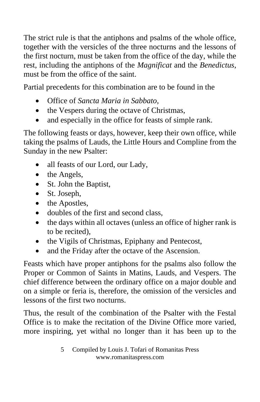The strict rule is that the antiphons and psalms of the whole office, together with the versicles of the three nocturns and the lessons of the first nocturn, must be taken from the office of the day, while the rest, including the antiphons of the *Magnificat* and the *Benedictus*, must be from the office of the saint.

Partial precedents for this combination are to be found in the

- Office of *Sancta Maria in Sabbato*,
- the Vespers during the octave of Christmas,
- and especially in the office for feasts of simple rank.

The following feasts or days, however, keep their own office, while taking the psalms of Lauds, the Little Hours and Compline from the Sunday in the new Psalter:

- all feasts of our Lord, our Lady,
- the Angels,
- St. John the Baptist,
- St. Joseph,
- the Apostles,
- doubles of the first and second class.
- the days within all octaves (unless an office of higher rank is to be recited),
- the Vigils of Christmas, Epiphany and Pentecost,
- and the Friday after the octave of the Ascension.

Feasts which have proper antiphons for the psalms also follow the Proper or Common of Saints in Matins, Lauds, and Vespers. The chief difference between the ordinary office on a major double and on a simple or feria is, therefore, the omission of the versicles and lessons of the first two nocturns.

Thus, the result of the combination of the Psalter with the Festal Office is to make the recitation of the Divine Office more varied, more inspiring, yet withal no longer than it has been up to the

5 Compiled by Louis J. Tofari of Romanitas Press www.romanitaspress.com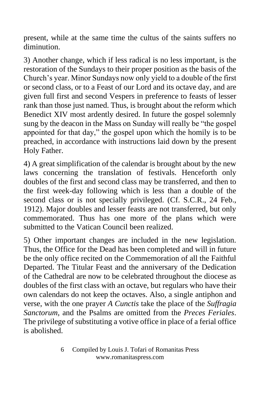present, while at the same time the cultus of the saints suffers no diminution.

3) Another change, which if less radical is no less important, is the restoration of the Sundays to their proper position as the basis of the Church's year. Minor Sundays now only yield to a double of the first or second class, or to a Feast of our Lord and its octave day, and are given full first and second Vespers in preference to feasts of lesser rank than those just named. Thus, is brought about the reform which Benedict XIV most ardently desired. In future the gospel solemnly sung by the deacon in the Mass on Sunday will really be "the gospel appointed for that day," the gospel upon which the homily is to be preached, in accordance with instructions laid down by the present Holy Father.

4) A great simplification of the calendar is brought about by the new laws concerning the translation of festivals. Henceforth only doubles of the first and second class may be transferred, and then to the first week-day following which is less than a double of the second class or is not specially privileged. (Cf. S.C.R., 24 Feb., 1912). Major doubles and lesser feasts are not transferred, but only commemorated. Thus has one more of the plans which were submitted to the Vatican Council been realized.

5) Other important changes are included in the new legislation. Thus, the Office for the Dead has been completed and will in future be the only office recited on the Commemoration of all the Faithful Departed. The Titular Feast and the anniversary of the Dedication of the Cathedral are now to be celebrated throughout the diocese as doubles of the first class with an octave, but regulars who have their own calendars do not keep the octaves. Also, a single antiphon and verse, with the one prayer *A Cunctis* take the place of the *Suffragia Sanctorum*, and the Psalms are omitted from the *Preces Feriales*. The privilege of substituting a votive office in place of a ferial office is abolished.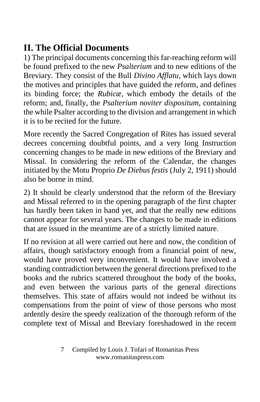## **II. The Official Documents**

1) The principal documents concerning this far-reaching reform will be found prefixed to the new *Psalterium* and to new editions of the Breviary. They consist of the Bull *Divino Afflatu*, which lays down the motives and principles that have guided the reform, and defines its binding force; the *Rubicæ*, which embody the details of the reform; and, finally, the *Psalterium noviter dispositum*, containing the while Psalter according to the division and arrangement in which it is to be recited for the future.

More recently the Sacred Congregation of Rites has issued several decrees concerning doubtful points, and a very long Instruction concerning changes to be made in new editions of the Breviary and Missal. In considering the reform of the Calendar, the changes initiated by the Motu Proprio *De Diebus festis* (July 2, 1911) should also be borne in mind.

2) It should be clearly understood that the reform of the Breviary and Missal referred to in the opening paragraph of the first chapter has hardly been taken in hand yet, and that the really new editions cannot appear for several years. The changes to be made in editions that are issued in the meantime are of a strictly limited nature.

If no revision at all were carried out here and now, the condition of affairs, though satisfactory enough from a financial point of new, would have proved very inconvenient. It would have involved a standing contradiction between the general directions prefixed to the books and the rubrics scattered throughout the body of the books, and even between the various parts of the general directions themselves. This state of affairs would not indeed be without its compensations from the point of view of those persons who most ardently desire the speedy realization of the thorough reform of the complete text of Missal and Breviary foreshadowed in the recent

7 Compiled by Louis J. Tofari of Romanitas Press www.romanitaspress.com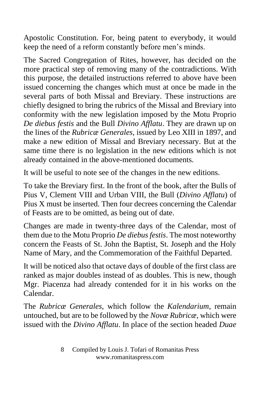Apostolic Constitution. For, being patent to everybody, it would keep the need of a reform constantly before men's minds.

The Sacred Congregation of Rites, however, has decided on the more practical step of removing many of the contradictions. With this purpose, the detailed instructions referred to above have been issued concerning the changes which must at once be made in the several parts of both Missal and Breviary. These instructions are chiefly designed to bring the rubrics of the Missal and Breviary into conformity with the new legislation imposed by the Motu Proprio *De diebus festis* and the Bull *Divino Afflatu*. They are drawn up on the lines of the *Rubricæ Generales*, issued by Leo XIII in 1897, and make a new edition of Missal and Breviary necessary. But at the same time there is no legislation in the new editions which is not already contained in the above-mentioned documents.

It will be useful to note see of the changes in the new editions.

To take the Breviary first. In the front of the book, after the Bulls of Pius V, Clement VIII and Urban VIII, the Bull (*Divino Afflatu*) of Pius X must be inserted. Then four decrees concerning the Calendar of Feasts are to be omitted, as being out of date.

Changes are made in twenty-three days of the Calendar, most of them due to the Motu Proprio *De diebus festis*. The most noteworthy concern the Feasts of St. John the Baptist, St. Joseph and the Holy Name of Mary, and the Commemoration of the Faithful Departed.

It will be noticed also that octave days of double of the first class are ranked as major doubles instead of as doubles. This is new, though Mgr. Piacenza had already contended for it in his works on the Calendar.

The *Rubricæ Generales*, which follow the *Kalendarium*, remain untouched, but are to be followed by the *Novæ Rubricæ*, which were issued with the *Divino Afflatu*. In place of the section headed *Duae*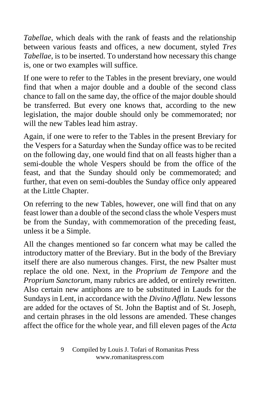*Tabellae*, which deals with the rank of feasts and the relationship between various feasts and offices, a new document, styled *Tres Tabellae*, is to be inserted. To understand how necessary this change is, one or two examples will suffice.

If one were to refer to the Tables in the present breviary, one would find that when a major double and a double of the second class chance to fall on the same day, the office of the major double should be transferred. But every one knows that, according to the new legislation, the major double should only be commemorated; nor will the new Tables lead him astray.

Again, if one were to refer to the Tables in the present Breviary for the Vespers for a Saturday when the Sunday office was to be recited on the following day, one would find that on all feasts higher than a semi-double the whole Vespers should be from the office of the feast, and that the Sunday should only be commemorated; and further, that even on semi-doubles the Sunday office only appeared at the Little Chapter.

On referring to the new Tables, however, one will find that on any feast lower than a double of the second class the whole Vespers must be from the Sunday, with commemoration of the preceding feast, unless it be a Simple.

All the changes mentioned so far concern what may be called the introductory matter of the Breviary. But in the body of the Breviary itself there are also numerous changes. First, the new Psalter must replace the old one. Next, in the *Proprium de Tempore* and the *Proprium Sanctorum*, many rubrics are added, or entirely rewritten. Also certain new antiphons are to be substituted in Lauds for the Sundays in Lent, in accordance with the *Divino Afflatu*. New lessons are added for the octaves of St. John the Baptist and of St. Joseph, and certain phrases in the old lessons are amended. These changes affect the office for the whole year, and fill eleven pages of the *Acta* 

9 Compiled by Louis J. Tofari of Romanitas Press www.romanitaspress.com